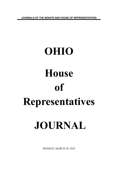**JOURNALS OF THE SENATE AND HOUSE OF REPRESENTATIVES**

# **OHIO House of Representatives JOURNAL**

MONDAY, MARCH 28, 2022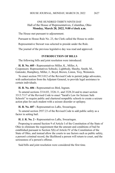# ONE HUNDRED THIRTY-NINTH DAY Hall of the House of Representatives, Columbus, Ohio **Monday, March 28, 2022, 9:00 o'clock a.m.**

The House met pursuant to adjournment.

Pursuant to House Rule No. 23, the Clerk called the House to order.

Representative Stewart was selected to preside under the Rule.

The journal of the previous legislative day was read and approved.

# **INTRODUCTION OF BILLS**

The following bills and joint resolution were introduced:

**H. B. No. 605 -** Representatives Miller, K., Miller, A. Cosponsors: Representatives Sobecki, Lightbody, Sheehy, Smith, M., Galonski, Humphrey, Miller, J., Boyd, Brown, Liston, Troy, Weinstein.

To enact section 5913.012 of the Revised Code to permit judge advocates, with authorization from the Adjutant General, to provide legal assistance to certain individuals.

### **H. B. No. 606 -** Representatives Bird, Ingram.

To amend sections 3314.03, 3326.11, and 3328.24 and to enact section 3313.7117 of the Revised Code to enact "Sarah's Law for Seizure Safe Schools" to require public and chartered nonpublic schools to create a seizure action plan for each student with a seizure disorder or epilepsy.

**H. B. No. 607 -** Representatives LaRe, Swearingen.

To amend section 2937.23 of the Revised Code to add public safety as a factor in setting bail.

**H. J. R. No. 2 -** Representatives LaRe, Swearingen.

Proposing to amend Section 9 of Article I of the Constitution of the State of Ohio to eliminate the requirement that the amount and conditions of bail be established pursuant to Section 5(b) of Article IV of the Constitution of the State of Ohio, and instead allow the courts to use factors such as public safety, a person's criminal record, the likelihood a person will return to court, and the seriousness of a person's offense.

Said bills and joint resolution were considered the first time.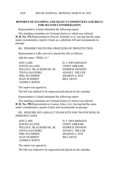### **REPORTS OF STANDING AND SELECT COMMITTEES AND BILLS FOR SECOND CONSIDERATION**

Representative Leland submitted the following report:

The standing committee on Criminal Justice to which was referred **H. B. No. 276**-Representatives Powell, Schmidt, et al., having had the same under consideration, reports it back as a substitute bill and recommends its passage.

RE: PROHIBIT RECEIVING PROCEEDS OF PROSTITUTION

Representative LaRe moved to amend the title as follows:

Add the name: "Miller, A."

JEFF LARE D. J. SWEARINGEN DAVID LELAND CINDY ABRAMS WILLIS E. BLACKSHEAR, JR. SEDRICK DENSON TAVIA GALONSKI ADAM C. MILLER PHIL PLUMMER SHARON A. RAY JEAN SCHMIDT BILL SEITZ ANDREA WHITE

The report was agreed to.

The bill was ordered to be engrossed and placed on the calendar.

Representative Leland submitted the following report:

The standing committee on Criminal Justice to which was referred **H. B. No. 390**-Representatives Lanese, John, et al., having had the same under consideration, reports it back and recommends its passage.

RE: REQUIRE SEX ASSAULT EXAM KITS FOR TRAFFICKING IN PERSONS CASES

JEFF LARE D. J. SWEARINGEN DAVID LELAND CINDY ABRAMS WILLIS E. BLACKSHEAR, JR. SEDRICK DENSON TAVIA GALONSKI ADAM C. MILLER PHIL PLUMMER SHARON A. RAY JEAN SCHMIDT BILL SEITZ ANDREA WHITE

The report was agreed to.

The bill was ordered to be engrossed and placed on the calendar.